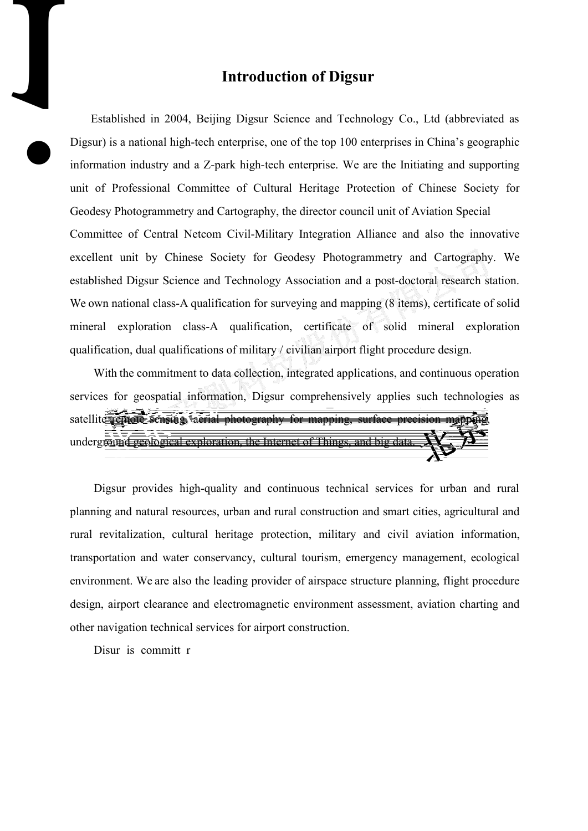information industry and a Z-park high-tech emerprise. We are the

lır Sc

prise, on

ıd Teo

10

004, Beijing Dr

tech e

shed ir

 $\mathbf{n}$ at

Dig

unit of Professional Committee o tage Geodesy Photogrammetry and Car aphy, the ector cou Committee of Central Netcom Civin Cilitary egration excellent unit by Chinese Society for Geo Photog established Digsur Science and Tech logy ciation ar We own national class-A qualification for surveying and ma mineral exploration class-A qualification, certificate qualification, dual qualifications of military / civilian airport flight procedure design.

aon of Chinese Society for unit of Aviation Special lance and also the innovative metry and Cartography. We post-doctoral research station. ng (8 items), certificate of solid solid mineral exploration

oranh

auing and supporting

With the commitment to data collection, integrated applications, and continuous operation services for geospatial information, Digsur comprehensively applies such technologies as satellite remote sensing, aerial photography for mapping, surface precision multering undergraind geological exiplomation, the Internet of Things.

Digsur provides high-quality and continuous technical services for urban and rural planning and natural resources, urban and rural construction and smart cities, agrigudtural and rural revitalization, cultural heritage protection, military and civil aviation information, transportation and water conservancy, cultural tourism, emergency management, ecological environment. We are also the leading provider of airspace structure planning, flight procedure design, airport clearance and electromagnetic environment assessment, aviation dearting and other nariosation technical serveres for airport construction.

Disur is committ r